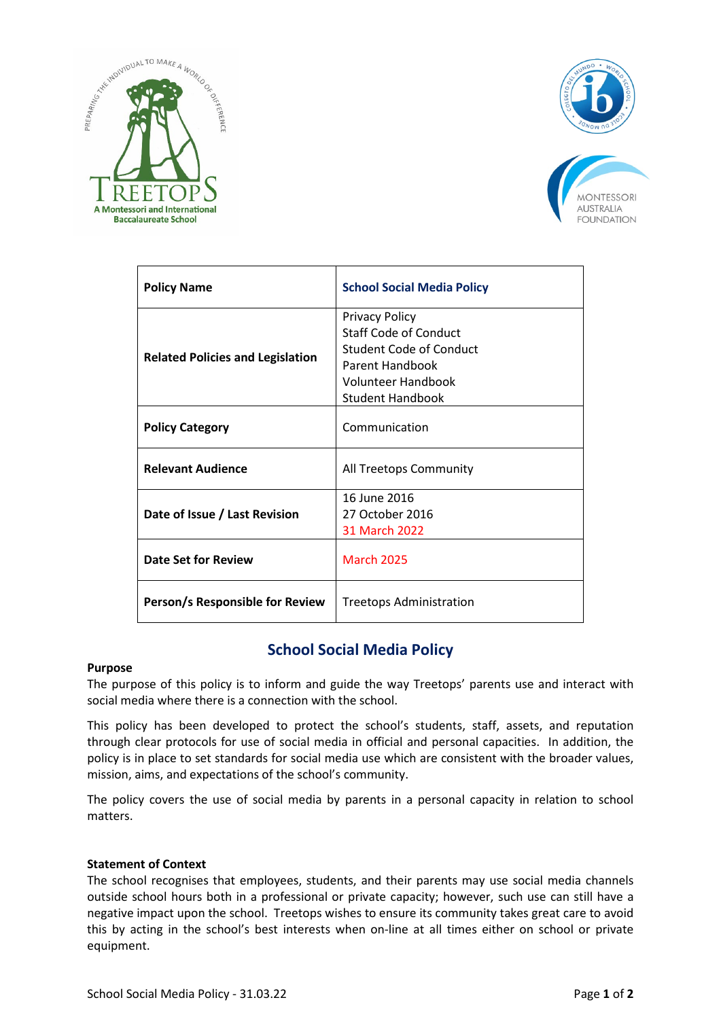





| <b>Policy Name</b>                      | <b>School Social Media Policy</b>                                                                                                                           |
|-----------------------------------------|-------------------------------------------------------------------------------------------------------------------------------------------------------------|
| <b>Related Policies and Legislation</b> | <b>Privacy Policy</b><br><b>Staff Code of Conduct</b><br>Student Code of Conduct<br>Parent Handbook<br><b>Volunteer Handbook</b><br><b>Student Handbook</b> |
| <b>Policy Category</b>                  | Communication                                                                                                                                               |
| <b>Relevant Audience</b>                | All Treetops Community                                                                                                                                      |
| Date of Issue / Last Revision           | 16 June 2016<br>27 October 2016<br><b>31 March 2022</b>                                                                                                     |
| Date Set for Review                     | <b>March 2025</b>                                                                                                                                           |
| Person/s Responsible for Review         | <b>Treetops Administration</b>                                                                                                                              |

# **School Social Media Policy**

# **Purpose**

The purpose of this policy is to inform and guide the way Treetops' parents use and interact with social media where there is a connection with the school.

This policy has been developed to protect the school's students, staff, assets, and reputation through clear protocols for use of social media in official and personal capacities. In addition, the policy is in place to set standards for social media use which are consistent with the broader values, mission, aims, and expectations of the school's community.

The policy covers the use of social media by parents in a personal capacity in relation to school matters.

# **Statement of Context**

The school recognises that employees, students, and their parents may use social media channels outside school hours both in a professional or private capacity; however, such use can still have a negative impact upon the school. Treetops wishes to ensure its community takes great care to avoid this by acting in the school's best interests when on-line at all times either on school or private equipment.